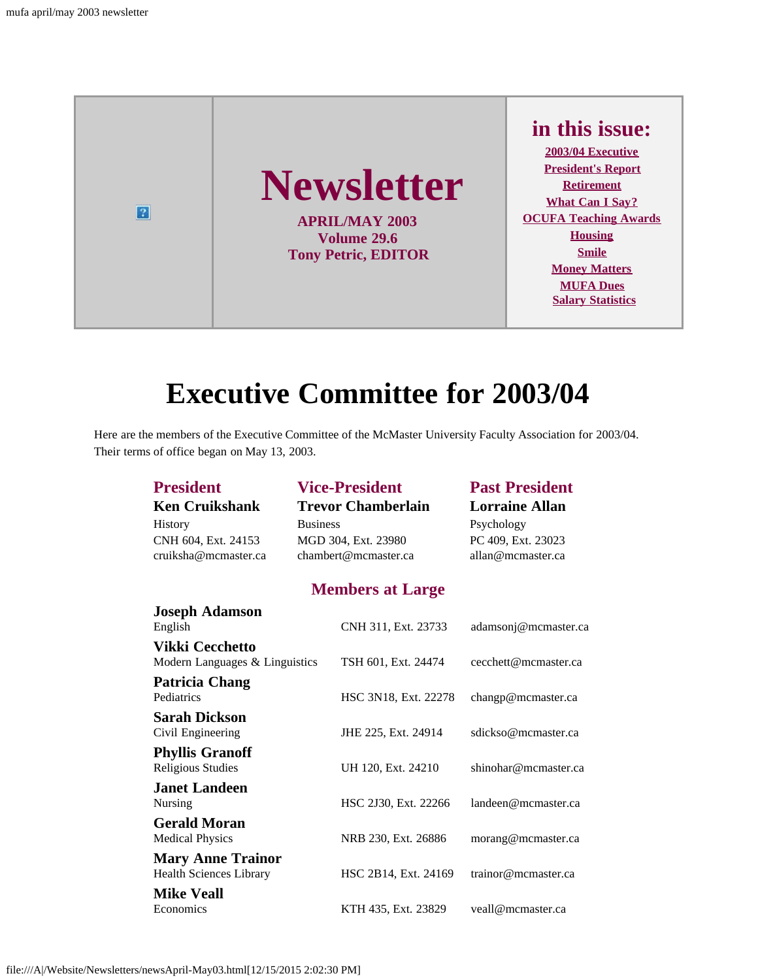

## **Executive Committee for 2003/04**

<span id="page-0-0"></span>Here are the members of the Executive Committee of the McMaster University Faculty Association for 2003/04. Their terms of office began on May 13, 2003.

| <b>President</b>               |                      | <b>Vice-President</b>     | <b>Past President</b> |
|--------------------------------|----------------------|---------------------------|-----------------------|
| <b>Ken Cruikshank</b>          |                      | <b>Trevor Chamberlain</b> | <b>Lorraine Allan</b> |
| History                        | <b>Business</b>      |                           | Psychology            |
| CNH 604, Ext. 24153            | MGD 304, Ext. 23980  |                           | PC 409, Ext. 23023    |
| cruiksha@mcmaster.ca           | chambert@mcmaster.ca |                           | allan@mcmaster.ca     |
|                                |                      | <b>Members at Large</b>   |                       |
| <b>Joseph Adamson</b>          |                      |                           |                       |
| English                        |                      | CNH 311, Ext. 23733       | adamsonj@mcmaster.ca  |
| <b>Vikki Cecchetto</b>         |                      |                           |                       |
| Modern Languages & Linguistics |                      | TSH 601, Ext. 24474       | cecchett@mcmaster.ca  |
| <b>Patricia Chang</b>          |                      |                           |                       |
| Pediatrics                     |                      | HSC 3N18, Ext. 22278      | changp@mcmaster.ca    |
| <b>Sarah Dickson</b>           |                      |                           |                       |
| Civil Engineering              |                      | JHE 225, Ext. 24914       | sdickso@mcmaster.ca   |
| <b>Phyllis Granoff</b>         |                      |                           |                       |
| <b>Religious Studies</b>       |                      | UH 120, Ext. 24210        | shinohar@mcmaster.ca  |
| <b>Janet Landeen</b>           |                      |                           |                       |
| Nursing                        |                      | HSC 2J30, Ext. 22266      | landeen@mcmaster.ca   |
| <b>Gerald Moran</b>            |                      |                           |                       |
| <b>Medical Physics</b>         |                      | NRB 230, Ext. 26886       | morang@mcmaster.ca    |
| <b>Mary Anne Trainor</b>       |                      |                           |                       |
| <b>Health Sciences Library</b> |                      | HSC 2B14, Ext. 24169      | trainor@mcmaster.ca   |
| <b>Mike Veall</b>              |                      |                           |                       |
| Economics                      |                      | KTH 435, Ext. 23829       | veall@mcmaster.ca     |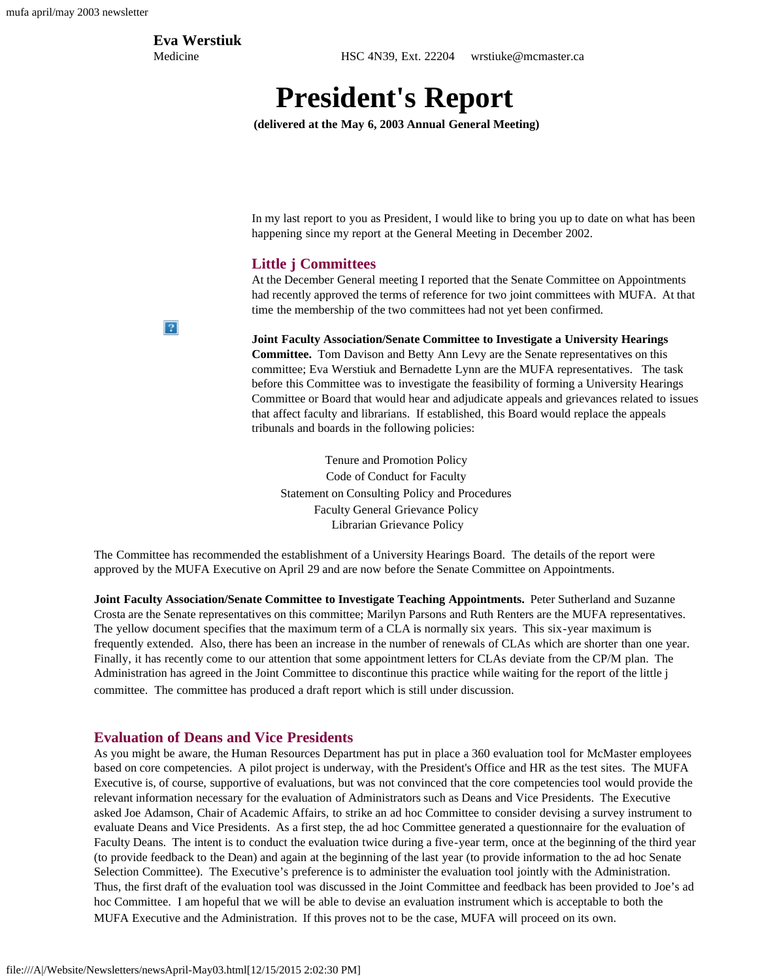### **Eva Werstiuk**

<span id="page-1-0"></span>Medicine HSC 4N39, Ext. 22204 wrstiuke@mcmaster.ca

## **President's Report**

**(delivered at the May 6, 2003 Annual General Meeting)**

In my last report to you as President, I would like to bring you up to date on what has been happening since my report at the General Meeting in December 2002.

#### **Little j Committees**

At the December General meeting I reported that the Senate Committee on Appointments had recently approved the terms of reference for two joint committees with MUFA. At that time the membership of the two committees had not yet been confirmed.

**Joint Faculty Association/Senate Committee to Investigate a University Hearings Committee.** Tom Davison and Betty Ann Levy are the Senate representatives on this committee; Eva Werstiuk and Bernadette Lynn are the MUFA representatives. The task before this Committee was to investigate the feasibility of forming a University Hearings Committee or Board that would hear and adjudicate appeals and grievances related to issues that affect faculty and librarians. If established, this Board would replace the appeals tribunals and boards in the following policies:

Tenure and Promotion Policy Code of Conduct for Faculty Statement on Consulting Policy and Procedures Faculty General Grievance Policy Librarian Grievance Policy

The Committee has recommended the establishment of a University Hearings Board. The details of the report were approved by the MUFA Executive on April 29 and are now before the Senate Committee on Appointments.

**Joint Faculty Association/Senate Committee to Investigate Teaching Appointments.** Peter Sutherland and Suzanne Crosta are the Senate representatives on this committee; Marilyn Parsons and Ruth Renters are the MUFA representatives. The yellow document specifies that the maximum term of a CLA is normally six years. This six-year maximum is frequently extended. Also, there has been an increase in the number of renewals of CLAs which are shorter than one year. Finally, it has recently come to our attention that some appointment letters for CLAs deviate from the CP/M plan. The Administration has agreed in the Joint Committee to discontinue this practice while waiting for the report of the little j committee. The committee has produced a draft report which is still under discussion.

#### **Evaluation of Deans and Vice Presidents**

As you might be aware, the Human Resources Department has put in place a 360 evaluation tool for McMaster employees based on core competencies. A pilot project is underway, with the President's Office and HR as the test sites. The MUFA Executive is, of course, supportive of evaluations, but was not convinced that the core competencies tool would provide the relevant information necessary for the evaluation of Administrators such as Deans and Vice Presidents. The Executive asked Joe Adamson, Chair of Academic Affairs, to strike an ad hoc Committee to consider devising a survey instrument to evaluate Deans and Vice Presidents. As a first step, the ad hoc Committee generated a questionnaire for the evaluation of Faculty Deans. The intent is to conduct the evaluation twice during a five-year term, once at the beginning of the third year (to provide feedback to the Dean) and again at the beginning of the last year (to provide information to the ad hoc Senate Selection Committee). The Executive's preference is to administer the evaluation tool jointly with the Administration. Thus, the first draft of the evaluation tool was discussed in the Joint Committee and feedback has been provided to Joe's ad hoc Committee. I am hopeful that we will be able to devise an evaluation instrument which is acceptable to both the MUFA Executive and the Administration. If this proves not to be the case, MUFA will proceed on its own.

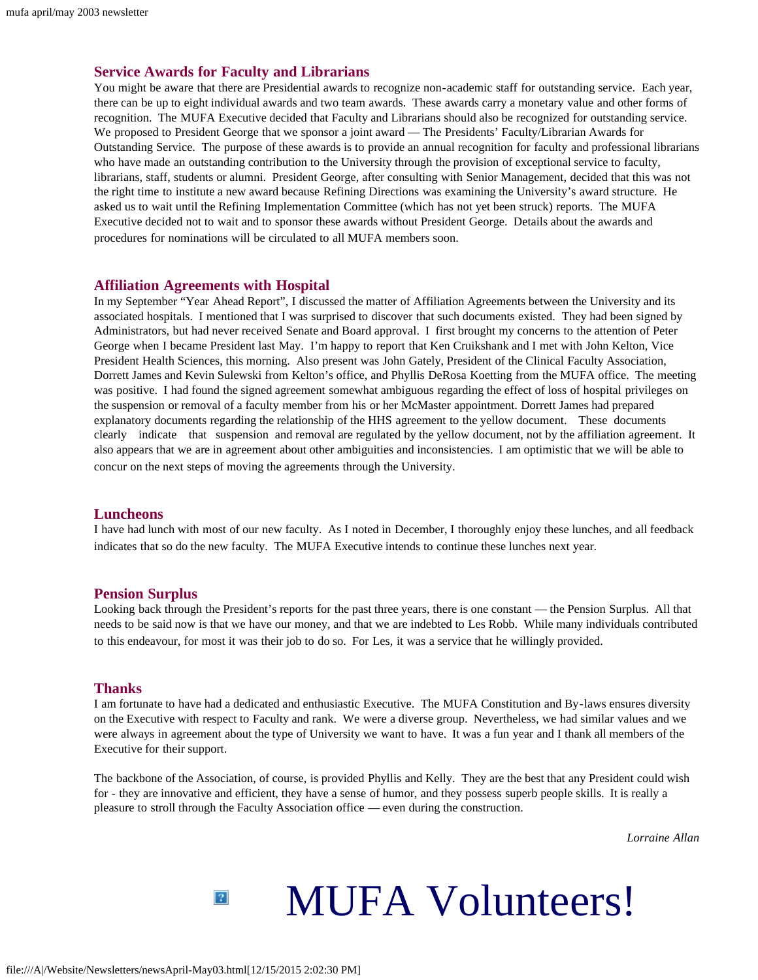#### **Service Awards for Faculty and Librarians**

You might be aware that there are Presidential awards to recognize non-academic staff for outstanding service. Each year, there can be up to eight individual awards and two team awards. These awards carry a monetary value and other forms of recognition. The MUFA Executive decided that Faculty and Librarians should also be recognized for outstanding service. We proposed to President George that we sponsor a joint award — The Presidents' Faculty/Librarian Awards for Outstanding Service. The purpose of these awards is to provide an annual recognition for faculty and professional librarians who have made an outstanding contribution to the University through the provision of exceptional service to faculty, librarians, staff, students or alumni. President George, after consulting with Senior Management, decided that this was not the right time to institute a new award because Refining Directions was examining the University's award structure. He asked us to wait until the Refining Implementation Committee (which has not yet been struck) reports. The MUFA Executive decided not to wait and to sponsor these awards without President George. Details about the awards and procedures for nominations will be circulated to all MUFA members soon.

#### **Affiliation Agreements with Hospital**

In my September "Year Ahead Report", I discussed the matter of Affiliation Agreements between the University and its associated hospitals. I mentioned that I was surprised to discover that such documents existed. They had been signed by Administrators, but had never received Senate and Board approval. I first brought my concerns to the attention of Peter George when I became President last May. I'm happy to report that Ken Cruikshank and I met with John Kelton, Vice President Health Sciences, this morning. Also present was John Gately, President of the Clinical Faculty Association, Dorrett James and Kevin Sulewski from Kelton's office, and Phyllis DeRosa Koetting from the MUFA office. The meeting was positive. I had found the signed agreement somewhat ambiguous regarding the effect of loss of hospital privileges on the suspension or removal of a faculty member from his or her McMaster appointment. Dorrett James had prepared explanatory documents regarding the relationship of the HHS agreement to the yellow document. These documents clearly indicate that suspension and removal are regulated by the yellow document, not by the affiliation agreement. It also appears that we are in agreement about other ambiguities and inconsistencies. I am optimistic that we will be able to concur on the next steps of moving the agreements through the University.

#### **Luncheons**

I have had lunch with most of our new faculty. As I noted in December, I thoroughly enjoy these lunches, and all feedback indicates that so do the new faculty. The MUFA Executive intends to continue these lunches next year.

#### **Pension Surplus**

Looking back through the President's reports for the past three years, there is one constant — the Pension Surplus. All that needs to be said now is that we have our money, and that we are indebted to Les Robb. While many individuals contributed to this endeavour, for most it was their job to do so. For Les, it was a service that he willingly provided.

#### **Thanks**

I am fortunate to have had a dedicated and enthusiastic Executive. The MUFA Constitution and By-laws ensures diversity on the Executive with respect to Faculty and rank. We were a diverse group. Nevertheless, we had similar values and we were always in agreement about the type of University we want to have. It was a fun year and I thank all members of the Executive for their support.

The backbone of the Association, of course, is provided Phyllis and Kelly. They are the best that any President could wish for - they are innovative and efficient, they have a sense of humor, and they possess superb people skills. It is really a pleasure to stroll through the Faculty Association office — even during the construction.

*Lorraine Allan*

# MUFA Volunteers!

 $\vert 2 \rangle$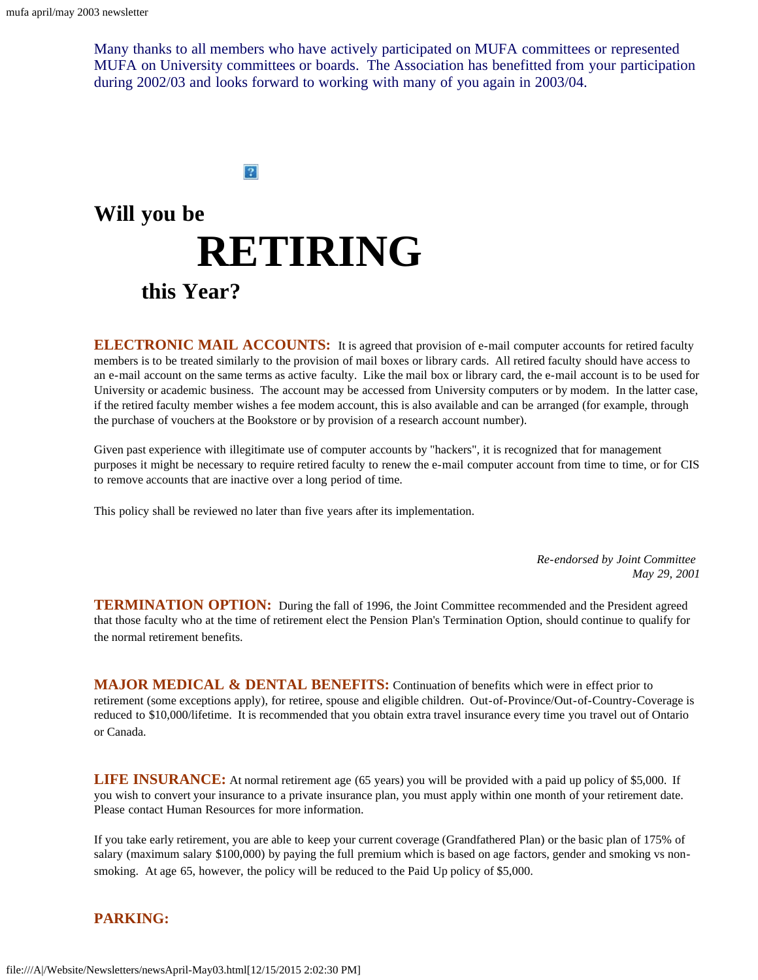Many thanks to all members who have actively participated on MUFA committees or represented MUFA on University committees or boards. The Association has benefitted from your participation during 2002/03 and looks forward to working with many of you again in 2003/04.

 $|2|$ 

# <span id="page-3-0"></span>**Will you be RETIRINGthis Year?**

**ELECTRONIC MAIL ACCOUNTS:** It is agreed that provision of e-mail computer accounts for retired faculty members is to be treated similarly to the provision of mail boxes or library cards. All retired faculty should have access to an e-mail account on the same terms as active faculty. Like the mail box or library card, the e-mail account is to be used for University or academic business. The account may be accessed from University computers or by modem. In the latter case, if the retired faculty member wishes a fee modem account, this is also available and can be arranged (for example, through the purchase of vouchers at the Bookstore or by provision of a research account number).

Given past experience with illegitimate use of computer accounts by "hackers", it is recognized that for management purposes it might be necessary to require retired faculty to renew the e-mail computer account from time to time, or for CIS to remove accounts that are inactive over a long period of time.

This policy shall be reviewed no later than five years after its implementation.

*Re-endorsed by Joint Committee May 29, 2001*

**TERMINATION OPTION:** During the fall of 1996, the Joint Committee recommended and the President agreed that those faculty who at the time of retirement elect the Pension Plan's Termination Option, should continue to qualify for the normal retirement benefits.

**MAJOR MEDICAL & DENTAL BENEFITS:** Continuation of benefits which were in effect prior to retirement (some exceptions apply), for retiree, spouse and eligible children. Out-of-Province/Out-of-Country-Coverage is reduced to \$10,000/lifetime. It is recommended that you obtain extra travel insurance every time you travel out of Ontario or Canada.

**LIFE INSURANCE:** At normal retirement age (65 years) you will be provided with a paid up policy of \$5,000. If you wish to convert your insurance to a private insurance plan, you must apply within one month of your retirement date. Please contact Human Resources for more information.

If you take early retirement, you are able to keep your current coverage (Grandfathered Plan) or the basic plan of 175% of salary (maximum salary \$100,000) by paying the full premium which is based on age factors, gender and smoking vs nonsmoking. At age 65, however, the policy will be reduced to the Paid Up policy of \$5,000.

#### **PARKING:**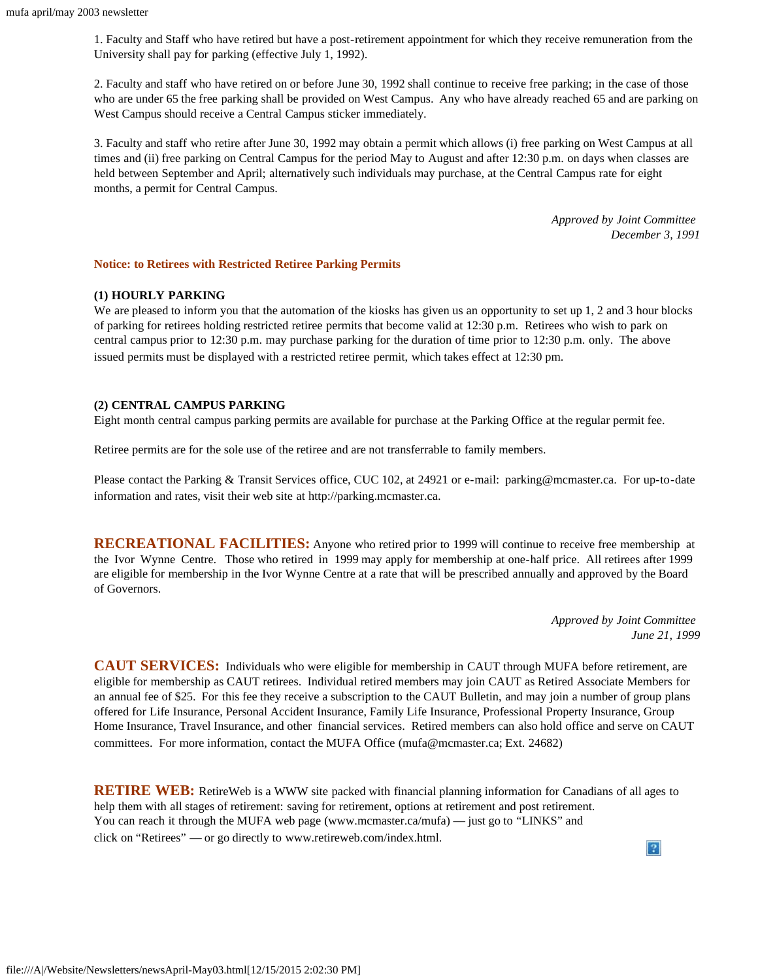1. Faculty and Staff who have retired but have a post-retirement appointment for which they receive remuneration from the University shall pay for parking (effective July 1, 1992).

2. Faculty and staff who have retired on or before June 30, 1992 shall continue to receive free parking; in the case of those who are under 65 the free parking shall be provided on West Campus. Any who have already reached 65 and are parking on West Campus should receive a Central Campus sticker immediately.

3. Faculty and staff who retire after June 30, 1992 may obtain a permit which allows (i) free parking on West Campus at all times and (ii) free parking on Central Campus for the period May to August and after 12:30 p.m. on days when classes are held between September and April; alternatively such individuals may purchase, at the Central Campus rate for eight months, a permit for Central Campus.

> *Approved by Joint Committee December 3, 1991*

#### **Notice: to Retirees with Restricted Retiree Parking Permits**

#### **(1) HOURLY PARKING**

We are pleased to inform you that the automation of the kiosks has given us an opportunity to set up 1, 2 and 3 hour blocks of parking for retirees holding restricted retiree permits that become valid at 12:30 p.m. Retirees who wish to park on central campus prior to 12:30 p.m. may purchase parking for the duration of time prior to 12:30 p.m. only. The above issued permits must be displayed with a restricted retiree permit, which takes effect at 12:30 pm.

#### **(2) CENTRAL CAMPUS PARKING**

Eight month central campus parking permits are available for purchase at the Parking Office at the regular permit fee.

Retiree permits are for the sole use of the retiree and are not transferrable to family members.

Please contact the Parking & Transit Services office, CUC 102, at 24921 or e-mail: parking@mcmaster.ca. For up-to-date information and rates, visit their web site at http://parking.mcmaster.ca.

**RECREATIONAL FACILITIES:** Anyone who retired prior to 1999 will continue to receive free membership at the Ivor Wynne Centre. Those who retired in 1999 may apply for membership at one-half price. All retirees after 1999 are eligible for membership in the Ivor Wynne Centre at a rate that will be prescribed annually and approved by the Board of Governors.

> *Approved by Joint Committee June 21, 1999*

**CAUT SERVICES:** Individuals who were eligible for membership in CAUT through MUFA before retirement, are eligible for membership as CAUT retirees. Individual retired members may join CAUT as Retired Associate Members for an annual fee of \$25. For this fee they receive a subscription to the CAUT Bulletin, and may join a number of group plans offered for Life Insurance, Personal Accident Insurance, Family Life Insurance, Professional Property Insurance, Group Home Insurance, Travel Insurance, and other financial services. Retired members can also hold office and serve on CAUT committees. For more information, contact the MUFA Office (mufa@mcmaster.ca; Ext. 24682)

**RETIRE WEB:** RetireWeb is a WWW site packed with financial planning information for Canadians of all ages to help them with all stages of retirement: saving for retirement, options at retirement and post retirement. You can reach it through the MUFA web page (www.mcmaster.ca/mufa) — just go to "LINKS" and click on "Retirees" — or go directly to www.retireweb.com/index.html. $|2\rangle$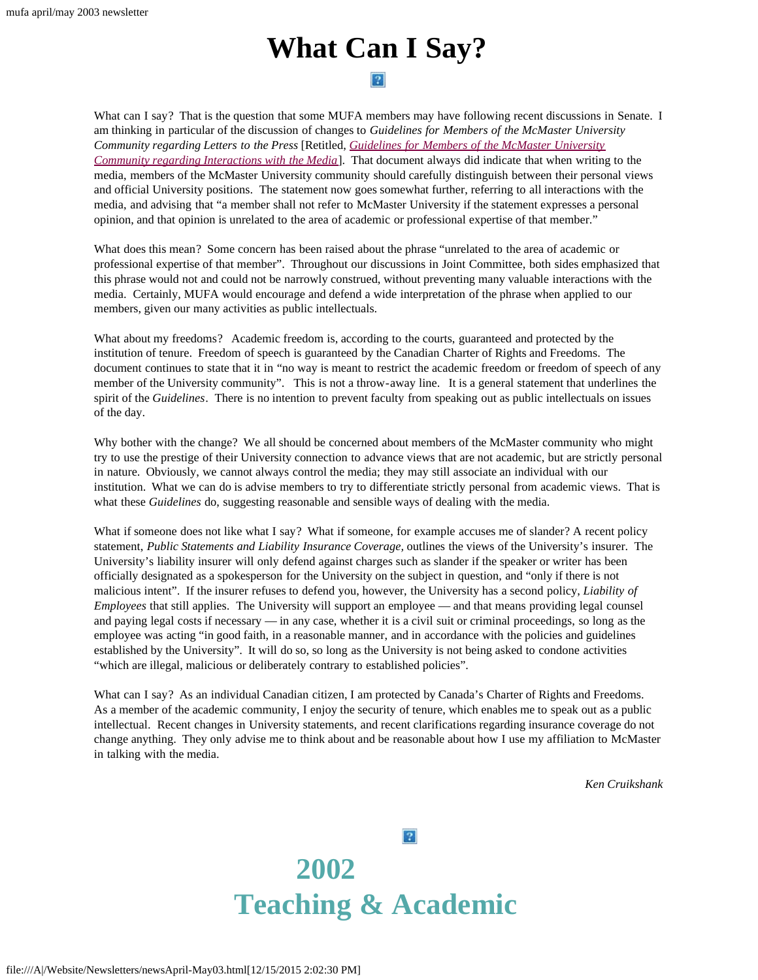## **What Can I Say?**

#### $|2|$

<span id="page-5-0"></span>What can I say? That is the question that some MUFA members may have following recent discussions in Senate. I am thinking in particular of the discussion of changes to *Guidelines for Members of the McMaster University Community regarding Letters to the Press* [Retitled, *[Guidelines for Members of the McMaster University](http://www.mcmaster.ca/mufa/handbook/letpress.htm) [Community regarding Interactions with the Media](http://www.mcmaster.ca/mufa/handbook/letpress.htm)*]. That document always did indicate that when writing to the media, members of the McMaster University community should carefully distinguish between their personal views and official University positions. The statement now goes somewhat further, referring to all interactions with the media, and advising that "a member shall not refer to McMaster University if the statement expresses a personal opinion, and that opinion is unrelated to the area of academic or professional expertise of that member."

What does this mean? Some concern has been raised about the phrase "unrelated to the area of academic or professional expertise of that member". Throughout our discussions in Joint Committee, both sides emphasized that this phrase would not and could not be narrowly construed, without preventing many valuable interactions with the media. Certainly, MUFA would encourage and defend a wide interpretation of the phrase when applied to our members, given our many activities as public intellectuals.

What about my freedoms? Academic freedom is, according to the courts, guaranteed and protected by the institution of tenure. Freedom of speech is guaranteed by the Canadian Charter of Rights and Freedoms. The document continues to state that it in "no way is meant to restrict the academic freedom or freedom of speech of any member of the University community". This is not a throw-away line. It is a general statement that underlines the spirit of the *Guidelines*. There is no intention to prevent faculty from speaking out as public intellectuals on issues of the day.

Why bother with the change? We all should be concerned about members of the McMaster community who might try to use the prestige of their University connection to advance views that are not academic, but are strictly personal in nature. Obviously, we cannot always control the media; they may still associate an individual with our institution. What we can do is advise members to try to differentiate strictly personal from academic views. That is what these *Guidelines* do, suggesting reasonable and sensible ways of dealing with the media.

What if someone does not like what I say? What if someone, for example accuses me of slander? A recent policy statement, *Public Statements and Liability Insurance Coverage,* outlines the views of the University's insurer. The University's liability insurer will only defend against charges such as slander if the speaker or writer has been officially designated as a spokesperson for the University on the subject in question, and "only if there is not malicious intent". If the insurer refuses to defend you, however, the University has a second policy, *Liability of Employees* that still applies. The University will support an employee — and that means providing legal counsel and paying legal costs if necessary — in any case, whether it is a civil suit or criminal proceedings, so long as the employee was acting "in good faith, in a reasonable manner, and in accordance with the policies and guidelines established by the University". It will do so, so long as the University is not being asked to condone activities "which are illegal, malicious or deliberately contrary to established policies".

<span id="page-5-1"></span>What can I say? As an individual Canadian citizen, I am protected by Canada's Charter of Rights and Freedoms. As a member of the academic community, I enjoy the security of tenure, which enables me to speak out as a public intellectual. Recent changes in University statements, and recent clarifications regarding insurance coverage do not change anything. They only advise me to think about and be reasonable about how I use my affiliation to McMaster in talking with the media.

*Ken Cruikshank*

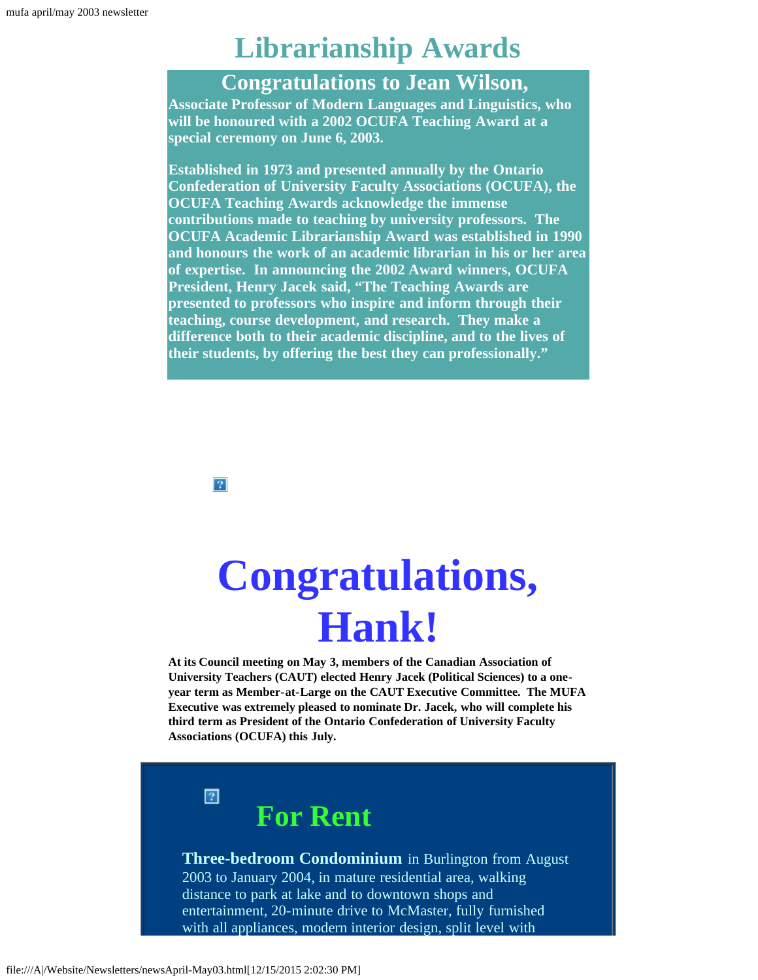## **Librarianship Awards**

## **Congratulations to Jean Wilson,**

**Associate Professor of Modern Languages and Linguistics, who will be honoured with a 2002 OCUFA Teaching Award at a special ceremony on June 6, 2003.**

**Established in 1973 and presented annually by the Ontario Confederation of University Faculty Associations (OCUFA), the OCUFA Teaching Awards acknowledge the immense contributions made to teaching by university professors. The OCUFA Academic Librarianship Award was established in 1990 and honours the work of an academic librarian in his or her area of expertise. In announcing the 2002 Award winners, OCUFA President, Henry Jacek said, "The Teaching Awards are presented to professors who inspire and inform through their teaching, course development, and research. They make a difference both to their academic discipline, and to the lives of their students, by offering the best they can professionally."**

 $|2\rangle$ 

# **Congratulations, Hank!**

<span id="page-6-0"></span>**At its Council meeting on May 3, members of the Canadian Association of University Teachers (CAUT) elected Henry Jacek (Political Sciences) to a oneyear term as Member-at-Large on the CAUT Executive Committee. The MUFA Executive was extremely pleased to nominate Dr. Jacek, who will complete his third term as President of the Ontario Confederation of University Faculty Associations (OCUFA) this July.**

 $\boxed{?}$ 

**For Rent**

**Three-bedroom Condominium** in Burlington from August 2003 to January 2004, in mature residential area, walking distance to park at lake and to downtown shops and entertainment, 20-minute drive to McMaster, fully furnished with all appliances, modern interior design, split level with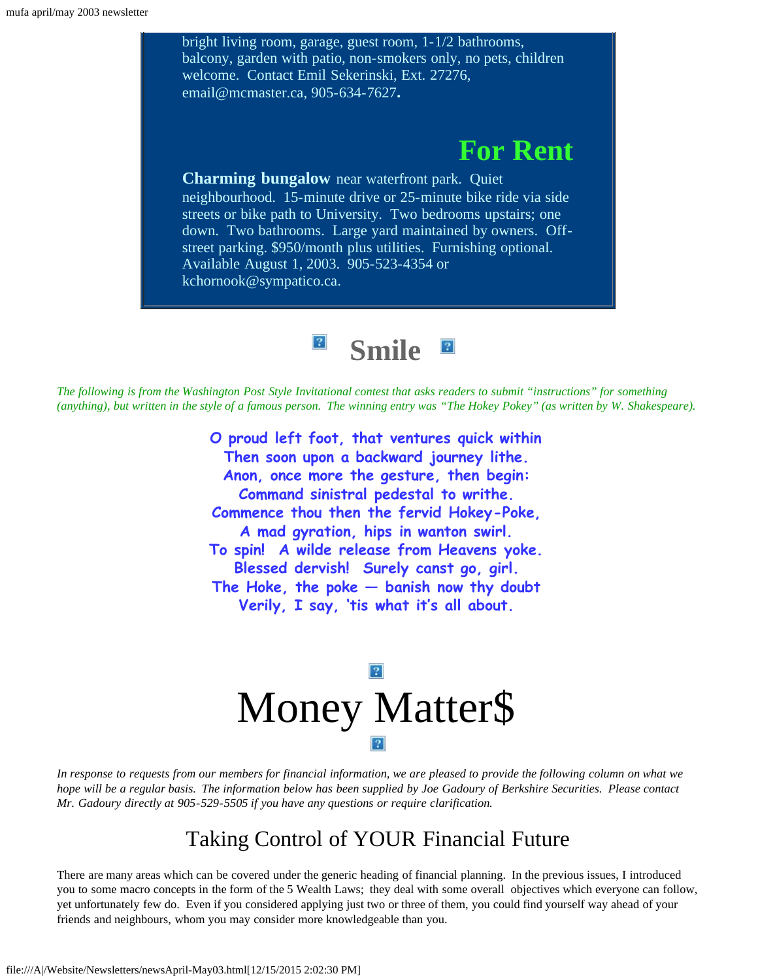bright living room, garage, guest room, 1-1/2 bathrooms, balcony, garden with patio, non-smokers only, no pets, children welcome. Contact Emil Sekerinski, Ext. 27276, email@mcmaster.ca, 905-634-7627**. For Rent Charming bungalow** near waterfront park. Quiet neighbourhood. 15-minute drive or 25-minute bike ride via side streets or bike path to University. Two bedrooms upstairs; one down. Two bathrooms. Large yard maintained by owners. Offstreet parking. \$950/month plus utilities. Furnishing optional. Available August 1, 2003. 905-523-4354 or kchornook@sympatico.ca.

> **Smile**  $\boldsymbol{?}$

<span id="page-7-0"></span>*The following is from the Washington Post Style Invitational contest that asks readers to submit "instructions" for something (anything), but written in the style of a famous person. The winning entry was "The Hokey Pokey" (as written by W. Shakespeare).*

> **O proud left foot, that ventures quick within Then soon upon a backward journey lithe. Anon, once more the gesture, then begin: Command sinistral pedestal to writhe. Commence thou then the fervid Hokey-Poke, A mad gyration, hips in wanton swirl. To spin! A wilde release from Heavens yoke. Blessed dervish! Surely canst go, girl. The Hoke, the poke — banish now thy doubt Verily, I say, 'tis what it's all about.**

# Money Matter\$

<span id="page-7-1"></span>*In response to requests from our members for financial information, we are pleased to provide the following column on what we hope will be a regular basis. The information below has been supplied by Joe Gadoury of Berkshire Securities. Please contact Mr. Gadoury directly at 905-529-5505 if you have any questions or require clarification.*

## Taking Control of YOUR Financial Future

There are many areas which can be covered under the generic heading of financial planning. In the previous issues, I introduced you to some macro concepts in the form of the 5 Wealth Laws; they deal with some overall objectives which everyone can follow, yet unfortunately few do. Even if you considered applying just two or three of them, you could find yourself way ahead of your friends and neighbours, whom you may consider more knowledgeable than you.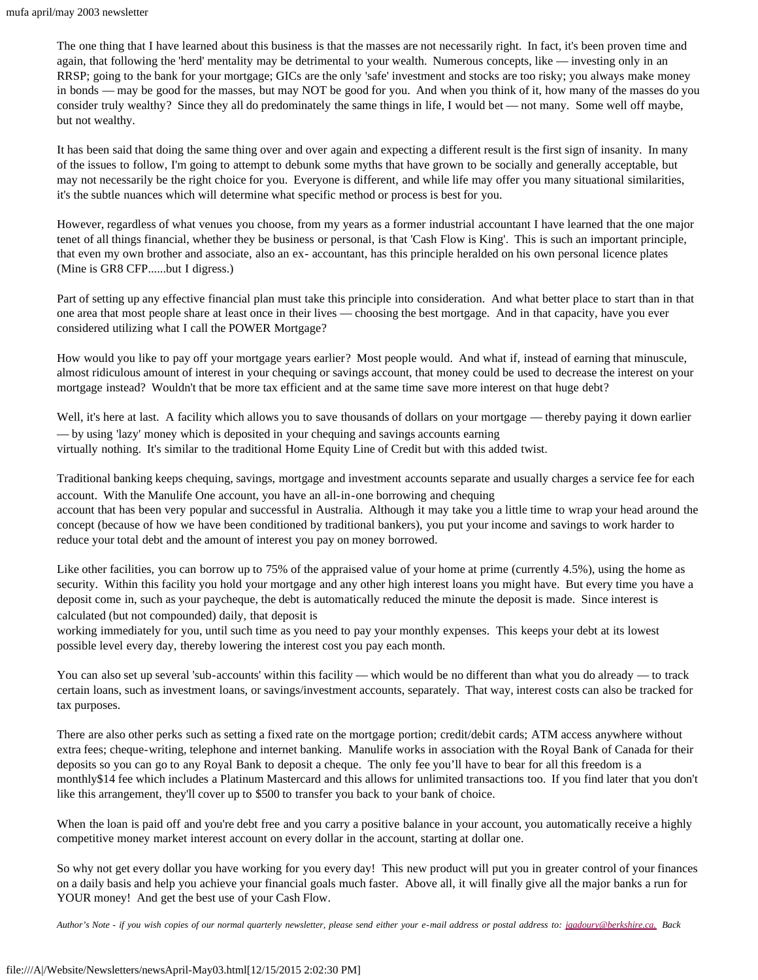The one thing that I have learned about this business is that the masses are not necessarily right. In fact, it's been proven time and again, that following the 'herd' mentality may be detrimental to your wealth. Numerous concepts, like — investing only in an RRSP; going to the bank for your mortgage; GICs are the only 'safe' investment and stocks are too risky; you always make money in bonds — may be good for the masses, but may NOT be good for you. And when you think of it, how many of the masses do you consider truly wealthy? Since they all do predominately the same things in life, I would bet — not many. Some well off maybe, but not wealthy.

It has been said that doing the same thing over and over again and expecting a different result is the first sign of insanity. In many of the issues to follow, I'm going to attempt to debunk some myths that have grown to be socially and generally acceptable, but may not necessarily be the right choice for you. Everyone is different, and while life may offer you many situational similarities, it's the subtle nuances which will determine what specific method or process is best for you.

However, regardless of what venues you choose, from my years as a former industrial accountant I have learned that the one major tenet of all things financial, whether they be business or personal, is that 'Cash Flow is King'. This is such an important principle, that even my own brother and associate, also an ex- accountant, has this principle heralded on his own personal licence plates (Mine is GR8 CFP......but I digress.)

Part of setting up any effective financial plan must take this principle into consideration. And what better place to start than in that one area that most people share at least once in their lives — choosing the best mortgage. And in that capacity, have you ever considered utilizing what I call the POWER Mortgage?

How would you like to pay off your mortgage years earlier? Most people would. And what if, instead of earning that minuscule, almost ridiculous amount of interest in your chequing or savings account, that money could be used to decrease the interest on your mortgage instead? Wouldn't that be more tax efficient and at the same time save more interest on that huge debt?

Well, it's here at last. A facility which allows you to save thousands of dollars on your mortgage — thereby paying it down earlier — by using 'lazy' money which is deposited in your chequing and savings accounts earning virtually nothing. It's similar to the traditional Home Equity Line of Credit but with this added twist.

Traditional banking keeps chequing, savings, mortgage and investment accounts separate and usually charges a service fee for each account. With the Manulife One account, you have an all-in-one borrowing and chequing

account that has been very popular and successful in Australia. Although it may take you a little time to wrap your head around the concept (because of how we have been conditioned by traditional bankers), you put your income and savings to work harder to reduce your total debt and the amount of interest you pay on money borrowed.

Like other facilities, you can borrow up to 75% of the appraised value of your home at prime (currently 4.5%), using the home as security. Within this facility you hold your mortgage and any other high interest loans you might have. But every time you have a deposit come in, such as your paycheque, the debt is automatically reduced the minute the deposit is made. Since interest is calculated (but not compounded) daily, that deposit is

working immediately for you, until such time as you need to pay your monthly expenses. This keeps your debt at its lowest possible level every day, thereby lowering the interest cost you pay each month.

You can also set up several 'sub-accounts' within this facility — which would be no different than what you do already — to track certain loans, such as investment loans, or savings/investment accounts, separately. That way, interest costs can also be tracked for tax purposes.

There are also other perks such as setting a fixed rate on the mortgage portion; credit/debit cards; ATM access anywhere without extra fees; cheque-writing, telephone and internet banking. Manulife works in association with the Royal Bank of Canada for their deposits so you can go to any Royal Bank to deposit a cheque. The only fee you'll have to bear for all this freedom is a monthly\$14 fee which includes a Platinum Mastercard and this allows for unlimited transactions too. If you find later that you don't like this arrangement, they'll cover up to \$500 to transfer you back to your bank of choice.

When the loan is paid off and you're debt free and you carry a positive balance in your account, you automatically receive a highly competitive money market interest account on every dollar in the account, starting at dollar one.

So why not get every dollar you have working for you every day! This new product will put you in greater control of your finances on a daily basis and help you achieve your financial goals much faster. Above all, it will finally give all the major banks a run for YOUR money! And get the best use of your Cash Flow.

*Author's Note - if you wish copies of our normal quarterly newsletter, please send either your e-mail address or postal address to: [jgadoury@berkshire.ca.](mailto:jgadoury@berkshire.ca) Back*